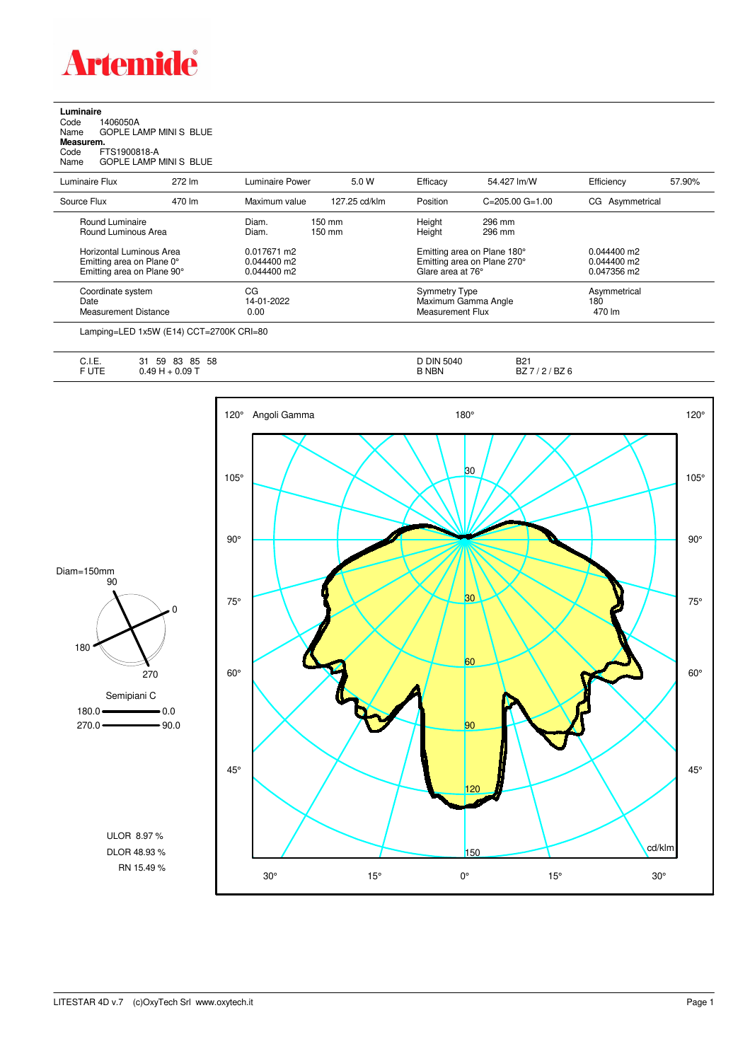

**Luminaire**<br>Code 1<br>Name ( Code 1406050A Name GOPLE LAMP MINI S BLUE **Measurem.**

Code FTS1900818-A Name GOPLE LAMP MINI S BLUE

| Luminaire Flux                  | 272 lm                                                                                                                                                                                                                                                                                                                                                                                                                                 | Luminaire Power | 5.0 W            | Efficacy                    | 54.427 lm/W                 | Efficiency      | 57.90%      |  |
|---------------------------------|----------------------------------------------------------------------------------------------------------------------------------------------------------------------------------------------------------------------------------------------------------------------------------------------------------------------------------------------------------------------------------------------------------------------------------------|-----------------|------------------|-----------------------------|-----------------------------|-----------------|-------------|--|
| Source Flux                     | 470 lm                                                                                                                                                                                                                                                                                                                                                                                                                                 | Maximum value   | 127.25 cd/klm    | Position                    | $C = 205.00$ $G = 1.00$     | CG Asymmetrical |             |  |
| Round Luminaire                 |                                                                                                                                                                                                                                                                                                                                                                                                                                        | Diam.           | $150 \text{ mm}$ | Height                      | 296 mm                      |                 |             |  |
| Round Luminous Area             |                                                                                                                                                                                                                                                                                                                                                                                                                                        | Diam.           | $150 \text{ mm}$ | Height                      | 296 mm                      |                 |             |  |
| <b>Horizontal Luminous Area</b> |                                                                                                                                                                                                                                                                                                                                                                                                                                        | 0.017671 m2     |                  | Emitting area on Plane 180° |                             | $0.044400$ m2   |             |  |
| Emitting area on Plane 0°       |                                                                                                                                                                                                                                                                                                                                                                                                                                        | $0.044400$ m2   |                  |                             | Emitting area on Plane 270° | $0.044400$ m2   |             |  |
| Emitting area on Plane 90°      |                                                                                                                                                                                                                                                                                                                                                                                                                                        | 0.044400 m2     |                  |                             | Glare area at 76°           |                 | 0.047356 m2 |  |
| Coordinate system               |                                                                                                                                                                                                                                                                                                                                                                                                                                        | CG              |                  | <b>Symmetry Type</b>        |                             | Asymmetrical    |             |  |
| Date                            |                                                                                                                                                                                                                                                                                                                                                                                                                                        | 14-01-2022      |                  |                             | Maximum Gamma Angle         |                 |             |  |
| Measurement Distance            |                                                                                                                                                                                                                                                                                                                                                                                                                                        | 0.00            |                  | Measurement Flux            |                             | 470 lm          |             |  |
|                                 | $\blacksquare$ , $\blacksquare$ , $\blacksquare$ , $\blacksquare$ , $\blacksquare$ , $\blacksquare$ , $\blacksquare$ , $\blacksquare$ , $\blacksquare$ , $\blacksquare$ , $\blacksquare$ , $\blacksquare$ , $\blacksquare$ , $\blacksquare$ , $\blacksquare$ , $\blacksquare$ , $\blacksquare$ , $\blacksquare$ , $\blacksquare$ , $\blacksquare$ , $\blacksquare$ , $\blacksquare$ , $\blacksquare$ , $\blacksquare$ , $\blacksquare$ |                 |                  |                             |                             |                 |             |  |

Lamping=LED 1x5W (E14) CCT=2700K CRI=80

| $\overline{\phantom{0}}$<br>◡.୲.∟. | 59<br>58<br>83<br>85<br>ີ<br>ا پ | <b>DIN</b><br>5040 | <b>DO1</b><br>DZ 1 |
|------------------------------------|----------------------------------|--------------------|--------------------|
| $  -$                              | 0.09T<br>AC<br>$\mathbf{r}$      | 3 NBN              | BZ 6<br>DZ         |